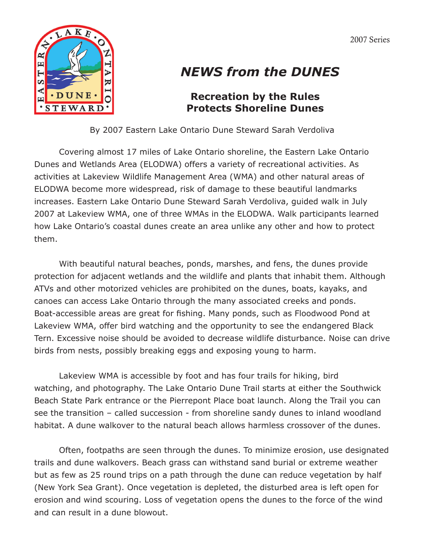2007 Series



## *NEWS from the DUNES*

## **Recreation by the Rules Protects Shoreline Dunes**

By 2007 Eastern Lake Ontario Dune Steward Sarah Verdoliva

Covering almost 17 miles of Lake Ontario shoreline, the Eastern Lake Ontario Dunes and Wetlands Area (ELODWA) offers a variety of recreational activities. As activities at Lakeview Wildlife Management Area (WMA) and other natural areas of ELODWA become more widespread, risk of damage to these beautiful landmarks increases. Eastern Lake Ontario Dune Steward Sarah Verdoliva, guided walk in July 2007 at Lakeview WMA, one of three WMAs in the ELODWA. Walk participants learned how Lake Ontario's coastal dunes create an area unlike any other and how to protect them.

With beautiful natural beaches, ponds, marshes, and fens, the dunes provide protection for adjacent wetlands and the wildlife and plants that inhabit them. Although ATVs and other motorized vehicles are prohibited on the dunes, boats, kayaks, and canoes can access Lake Ontario through the many associated creeks and ponds. Boat-accessible areas are great for fishing. Many ponds, such as Floodwood Pond at Lakeview WMA, offer bird watching and the opportunity to see the endangered Black Tern. Excessive noise should be avoided to decrease wildlife disturbance. Noise can drive birds from nests, possibly breaking eggs and exposing young to harm.

Lakeview WMA is accessible by foot and has four trails for hiking, bird watching, and photography. The Lake Ontario Dune Trail starts at either the Southwick Beach State Park entrance or the Pierrepont Place boat launch. Along the Trail you can see the transition – called succession - from shoreline sandy dunes to inland woodland habitat. A dune walkover to the natural beach allows harmless crossover of the dunes.

Often, footpaths are seen through the dunes. To minimize erosion, use designated trails and dune walkovers. Beach grass can withstand sand burial or extreme weather but as few as 25 round trips on a path through the dune can reduce vegetation by half (New York Sea Grant). Once vegetation is depleted, the disturbed area is left open for erosion and wind scouring. Loss of vegetation opens the dunes to the force of the wind and can result in a dune blowout.